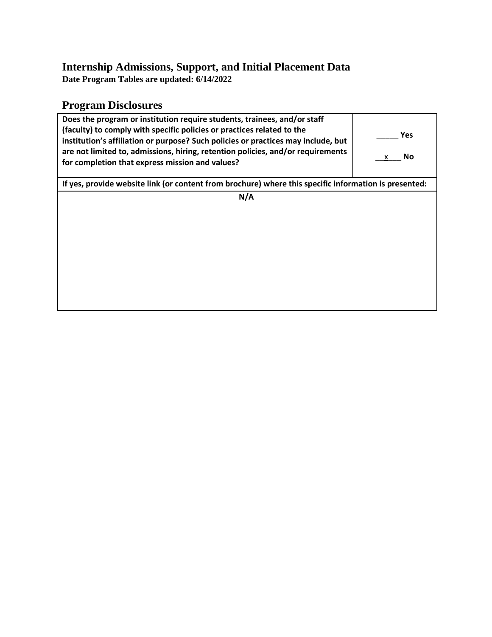### **Internship Admissions, Support, and Initial Placement Data**

**Date Program Tables are updated: 6/14/2022**

# **Program Disclosures**

| Does the program or institution require students, trainees, and/or staff<br>(faculty) to comply with specific policies or practices related to the<br>institution's affiliation or purpose? Such policies or practices may include, but<br>are not limited to, admissions, hiring, retention policies, and/or requirements<br>for completion that express mission and values? | Yes<br>No<br>x |  |  |  |  |
|-------------------------------------------------------------------------------------------------------------------------------------------------------------------------------------------------------------------------------------------------------------------------------------------------------------------------------------------------------------------------------|----------------|--|--|--|--|
| If yes, provide website link (or content from brochure) where this specific information is presented:                                                                                                                                                                                                                                                                         |                |  |  |  |  |
| N/A                                                                                                                                                                                                                                                                                                                                                                           |                |  |  |  |  |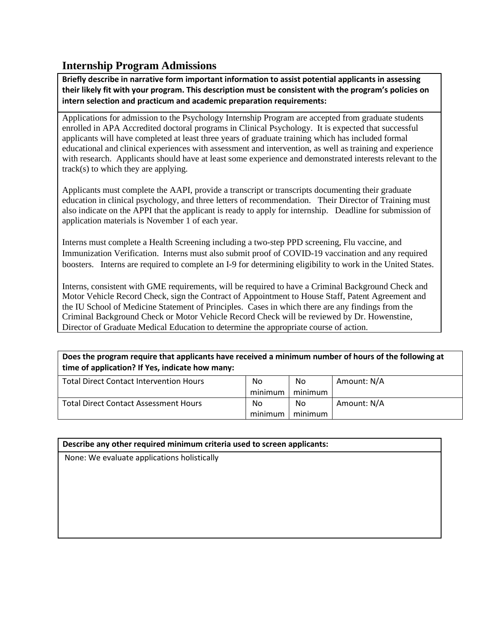## **Internship Program Admissions**

**Briefly describe in narrative form important information to assist potential applicants in assessing their likely fit with your program. This description must be consistent with the program's policies on intern selection and practicum and academic preparation requirements:**

Applications for admission to the Psychology Internship Program are accepted from graduate students enrolled in APA Accredited doctoral programs in Clinical Psychology. It is expected that successful applicants will have completed at least three years of graduate training which has included formal educational and clinical experiences with assessment and intervention, as well as training and experience with research. Applicants should have at least some experience and demonstrated interests relevant to the track(s) to which they are applying.

Applicants must complete the AAPI, provide a transcript or transcripts documenting their graduate education in clinical psychology, and three letters of recommendation. Their Director of Training must also indicate on the APPI that the applicant is ready to apply for internship. Deadline for submission of application materials is November 1 of each year.

Interns must complete a Health Screening including a two-step PPD screening, Flu vaccine, and Immunization Verification. Interns must also submit proof of COVID-19 vaccination and any required boosters. Interns are required to complete an I-9 for determining eligibility to work in the United States.

Interns, consistent with GME requirements, will be required to have a Criminal Background Check and Motor Vehicle Record Check, sign the Contract of Appointment to House Staff, Patent Agreement and the IU School of Medicine Statement of Principles. Cases in which there are any findings from the Criminal Background Check or Motor Vehicle Record Check will be reviewed by Dr. Howenstine, Director of Graduate Medical Education to determine the appropriate course of action.

**Does the program require that applicants have received a minimum number of hours of the following at time of application? If Yes, indicate how many:**

| <b>Total Direct Contact Intervention Hours</b> | No      | No      | Amount: N/A |
|------------------------------------------------|---------|---------|-------------|
|                                                | minimum | minimum |             |
| <b>Total Direct Contact Assessment Hours</b>   | No      | No      | Amount: N/A |
|                                                | minimum | minimum |             |

#### **Describe any other required minimum criteria used to screen applicants:**

None: We evaluate applications holistically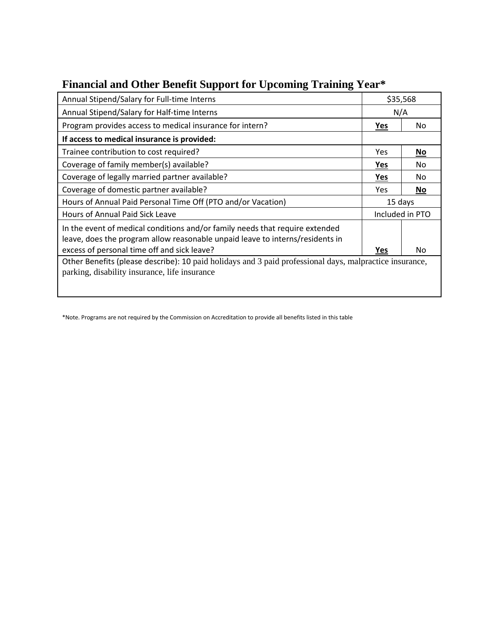| Annual Stipend/Salary for Full-time Interns                                                                                                                   |            | \$35,568        |  |
|---------------------------------------------------------------------------------------------------------------------------------------------------------------|------------|-----------------|--|
| Annual Stipend/Salary for Half-time Interns                                                                                                                   | N/A        |                 |  |
| Program provides access to medical insurance for intern?                                                                                                      | Yes        | No              |  |
| If access to medical insurance is provided:                                                                                                                   |            |                 |  |
| Trainee contribution to cost required?                                                                                                                        | Yes        | No              |  |
| Coverage of family member(s) available?                                                                                                                       | <u>Yes</u> | No.             |  |
| Coverage of legally married partner available?                                                                                                                | Yes        | No              |  |
| Coverage of domestic partner available?                                                                                                                       | Yes        | <b>No</b>       |  |
| Hours of Annual Paid Personal Time Off (PTO and/or Vacation)                                                                                                  | 15 days    |                 |  |
| Hours of Annual Paid Sick Leave                                                                                                                               |            | Included in PTO |  |
| In the event of medical conditions and/or family needs that require extended<br>leave, does the program allow reasonable unpaid leave to interns/residents in |            |                 |  |
| excess of personal time off and sick leave?                                                                                                                   | Yes        | No              |  |
| Other Benefits (please describe): 10 paid holidays and 3 paid professional days, malpractice insurance,<br>parking, disability insurance, life insurance      |            |                 |  |

# **Financial and Other Benefit Support for Upcoming Training Year\***

\*Note. Programs are not required by the Commission on Accreditation to provide all benefits listed in this table

 $\overline{\phantom{a}}$